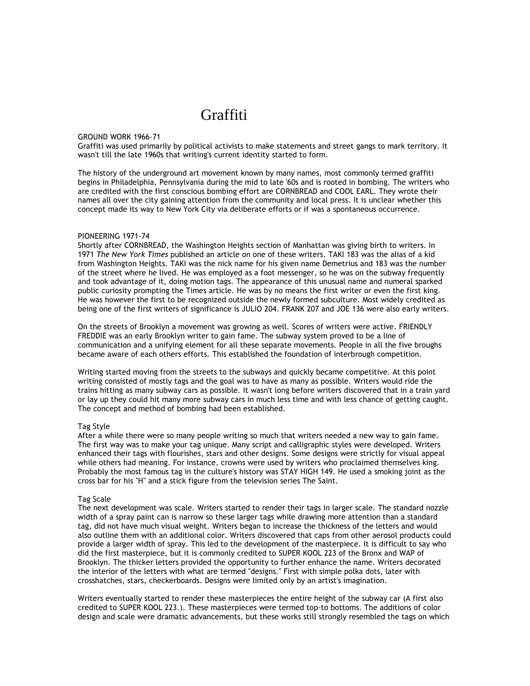# Graffiti

#### GROUND WORK 1966-71

Graffiti was used primarily by political activists to make statements and street gangs to mark territory. It wasn't till the late 1960s that writing's current identity started to form.

The history of the underground art movement known by many names, most commonly termed graffiti begins in Philadelphia, Pennsylvania during the mid to late '60s and is rooted in bombing. The writers who are credited with the first conscious bombing effort are CORNBREAD and COOL EARL. They wrote their names all over the city gaining attention from the community and local press. It is unclear whether this concept made its way to New York City via deliberate efforts or if was a spontaneous occurrence.

### PIONEERING 1971-74

Shortly after CORNBREAD, the Washington Heights section of Manhattan was giving birth to writers. In 1971 The New York Times published an article on one of these writers. TAKI 183 was the alias of a kid from Washington Heights. TAKI was the nick name for his given name Demetrius and 183 was the number of the street where he lived. He was employed as a foot messenger, so he was on the subway frequently and took advantage of it, doing motion tags. The appearance of this unusual name and numeral sparked public curiosity prompting the Times article. He was by no means the first writer or even the first king. He was however the first to be recognized outside the newly formed subculture. Most widely credited as being one of the first writers of significance is JULIO 204. FRANK 207 and JOE 136 were also early writers.

On the streets of Brooklyn a movement was growing as well. Scores of writers were active. FRIENDLY FREDDIE was an early Brooklyn writer to gain fame. The subway system proved to be a line of communication and a unifying element for all these separate movements. People in all the five broughs became aware of each others efforts. This established the foundation of interbrough competition.

Writing started moving from the streets to the subways and quickly became competitive. At this point writing consisted of mostly tags and the goal was to have as many as possible. Writers would ride the trains hitting as many subway cars as possible. It wasn't long before writers discovered that in a train yard or lay up they could hit many more subway cars in much less time and with less chance of getting caught. The concept and method of bombing had been established.

### Tag Style

After a while there were so many people writing so much that writers needed a new way to gain fame. The first way was to make your tag unique. Many script and calligraphic styles were developed. Writers enhanced their tags with flourishes, stars and other designs. Some designs were strictly for visual appeal while others had meaning. For instance, crowns were used by writers who proclaimed themselves king. Probably the most famous tag in the culture's history was STAY HIGH 149. He used a smoking joint as the cross bar for his "H" and a stick figure from the television series The Saint.

## Tag Scale

The next development was scale. Writers started to render their tags in larger scale. The standard nozzle width of a spray paint can is narrow so these larger tags while drawing more attention than a standard tag, did not have much visual weight. Writers began to increase the thickness of the letters and would also outline them with an additional color. Writers discovered that caps from other aerosol products could provide a larger width of spray. This led to the development of the masterpiece. It is difficult to say who did the first masterpiece, but it is commonly credited to SUPER KOOL 223 of the Bronx and WAP of Brooklyn. The thicker letters provided the opportunity to further enhance the name. Writers decorated the interior of the letters with what are termed "designs." First with simple polka dots, later with crosshatches, stars, checkerboards. Designs were limited only by an artist's imagination.

Writers eventually started to render these masterpieces the entire height of the subway car (A first also credited to SUPER KOOL 223.). These masterpieces were termed top-to bottoms. The additions of color design and scale were dramatic advancements, but these works still strongly resembled the tags on which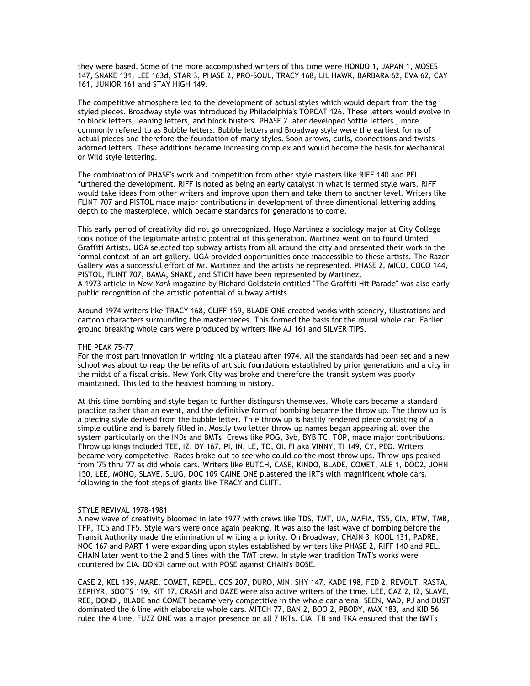they were based. Some of the more accomplished writers of this time were HONDO 1, JAPAN 1, MOSES 147, SNAKE 131, LEE 163d, STAR 3, PHASE 2, PRO-SOUL, TRACY 168, LIL HAWK, BARBARA 62, EVA 62, CAY 161, JUNIOR 161 and STAY HIGH 149.

The competitive atmosphere led to the development of actual styles which would depart from the tag styled pieces. Broadway style was introduced by Philadelphia's TOPCAT 126. These letters would evolve in to block letters, leaning letters, and block busters. PHASE 2 later developed Softie letters , more commonly refered to as Bubble letters. Bubble letters and Broadway style were the earliest forms of actual pieces and therefore the foundation of many styles. Soon arrows, curls, connections and twists adorned letters. These additions became increasing complex and would become the basis for Mechanical or Wild style lettering.

The combination of PHASE's work and competition from other style masters like RIFF 140 and PEL furthered the development. RIFF is noted as being an early catalyst in what is termed style wars. RIFF would take ideas from other writers and improve upon them and take them to another level. Writers like FLINT 707 and PISTOL made major contributions in development of three dimentional lettering adding depth to the masterpiece, which became standards for generations to come.

This early period of creativity did not go unrecognized. Hugo Martinez a sociology major at City College took notice of the legitimate artistic potential of this generation. Martinez went on to found United Graffiti Artists. UGA selected top subway artists from all around the city and presented their work in the formal context of an art gallery. UGA provided opportunities once inaccessible to these artists. The Razor Gallery was a successful effort of Mr. Martinez and the artists he represented. PHASE 2, MICO, COCO 144, PISTOL, FLINT 707, BAMA, SNAKE, and STICH have been represented by Martinez. A 1973 article in New York magazine by Richard Goldstein entitled "The Graffiti Hit Parade" was also early public recognition of the artistic potential of subway artists.

Around 1974 writers like TRACY 168, CLIFF 159, BLADE ONE created works with scenery, illustrations and cartoon characters surrounding the masterpieces. This formed the basis for the mural whole car. Earlier ground breaking whole cars were produced by writers like AJ 161 and SILVER TIPS.

# THE PEAK 75-77

For the most part innovation in writing hit a plateau after 1974. All the standards had been set and a new school was about to reap the benefits of artistic foundations established by prior generations and a city in the midst of a fiscal crisis. New York City was broke and therefore the transit system was poorly maintained. This led to the heaviest bombing in history.

At this time bombing and style began to further distinguish themselves. Whole cars became a standard practice rather than an event, and the definitive form of bombing became the throw up. The throw up is a piecing style derived from the bubble letter. Th e throw up is hastily rendered piece consisting of a simple outline and is barely filled in. Mostly two letter throw up names began appearing all over the system particularly on the INDs and BMTs. Crews like POG, 3yb, BYB TC, TOP, made major contributions. Throw up kings included TEE, IZ, DY 167, PI, IN, LE, TO, OI, FI aka VINNY, TI 149, CY, PEO. Writers became very competetive. Races broke out to see who could do the most throw ups. Throw ups peaked from '75 thru '77 as did whole cars. Writers like BUTCH, CASE, KINDO, BLADE, COMET, ALE 1, DOO2, JOHN 150, LEE, MONO, SLAVE, SLUG, DOC 109 CAINE ONE plastered the IRTs with magnificent whole cars, following in the foot steps of giants like TRACY and CLIFF.

# STYLE REVIVAL 1978-1981

A new wave of creativity bloomed in late 1977 with crews like TDS, TMT, UA, MAFIA, TS5, CIA, RTW, TMB, TFP, TC5 and TF5. Style wars were once again peaking. It was also the last wave of bombing before the Transit Authority made the elimination of writing a priority. On Broadway, CHAIN 3, KOOL 131, PADRE, NOC 167 and PART 1 were expanding upon styles established by writers like PHASE 2, RIFF 140 and PEL. CHAIN later went to the 2 and 5 lines with the TMT crew. In style war tradition TMT's works were countered by CIA. DONDI came out with POSE against CHAIN's DOSE.

CASE 2, KEL 139, MARE, COMET, REPEL, COS 207, DURO, MIN, SHY 147, KADE 198, FED 2, REVOLT, RASTA, ZEPHYR, BOOTS 119, KIT 17, CRASH and DAZE were also active writers of the time. LEE, CAZ 2, IZ, SLAVE, REE, DONDI, BLADE and COMET became very competitive in the whole car arena. SEEN, MAD, PJ and DUST dominated the 6 line with elaborate whole cars. MITCH 77, BAN 2, BOO 2, PBODY, MAX 183, and KID 56 ruled the 4 line. FUZZ ONE was a major presence on all 7 IRTs. CIA, TB and TKA ensured that the BMTs